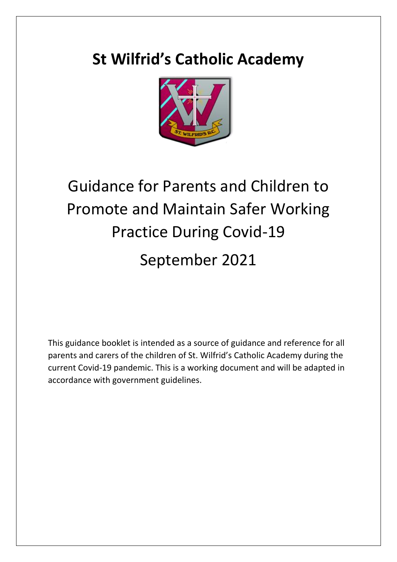# **St Wilfrid's Catholic Academy**



# Guidance for Parents and Children to Promote and Maintain Safer Working Practice During Covid-19 September 2021

This guidance booklet is intended as a source of guidance and reference for all parents and carers of the children of St. Wilfrid's Catholic Academy during the current Covid-19 pandemic. This is a working document and will be adapted in accordance with government guidelines.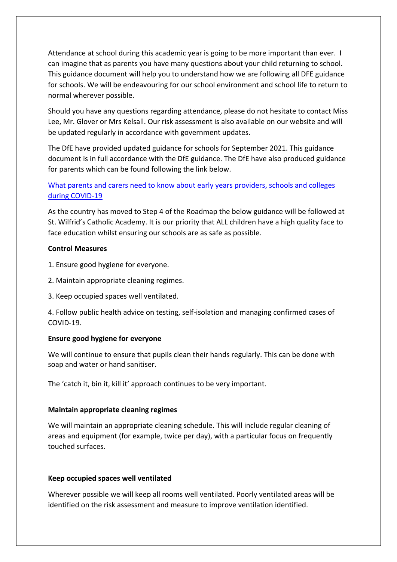Attendance at school during this academic year is going to be more important than ever. I can imagine that as parents you have many questions about your child returning to school. This guidance document will help you to understand how we are following all DFE guidance for schools. We will be endeavouring for our school environment and school life to return to normal wherever possible.

Should you have any questions regarding attendance, please do not hesitate to contact Miss Lee, Mr. Glover or Mrs Kelsall. Our risk assessment is also available on our website and will be updated regularly in accordance with government updates.

The DfE have provided updated guidance for schools for September 2021. This guidance document is in full accordance with the DfE guidance. The DfE have also produced guidance for parents which can be found following the link below.

# [What parents and carers need to know about early years providers, schools and colleges](https://www.gov.uk/government/publications/what-parents-and-carers-need-to-know-about-early-years-providers-schools-and-colleges-during-the-coronavirus-covid-19-outbreak?utm_source=08%20July%202021%20C19&utm_medium=Daily%20Email%20C19&utm_campaign=DfE%20C19)  [during COVID-19](https://www.gov.uk/government/publications/what-parents-and-carers-need-to-know-about-early-years-providers-schools-and-colleges-during-the-coronavirus-covid-19-outbreak?utm_source=08%20July%202021%20C19&utm_medium=Daily%20Email%20C19&utm_campaign=DfE%20C19)

As the country has moved to Step 4 of the Roadmap the below guidance will be followed at St. Wilfrid's Catholic Academy. It is our priority that ALL children have a high quality face to face education whilst ensuring our schools are as safe as possible.

### **Control Measures**

- 1. Ensure good hygiene for everyone.
- 2. Maintain appropriate cleaning regimes.
- 3. Keep occupied spaces well ventilated.

4. Follow public health advice on testing, self-isolation and managing confirmed cases of COVID-19.

# **Ensure good hygiene for everyone**

We will continue to ensure that pupils clean their hands regularly. This can be done with soap and water or hand sanitiser.

The 'catch it, bin it, kill it' approach continues to be very important.

# **Maintain appropriate cleaning regimes**

We will maintain an appropriate cleaning schedule. This will include regular cleaning of areas and equipment (for example, twice per day), with a particular focus on frequently touched surfaces.

# **Keep occupied spaces well ventilated**

Wherever possible we will keep all rooms well ventilated. Poorly ventilated areas will be identified on the risk assessment and measure to improve ventilation identified.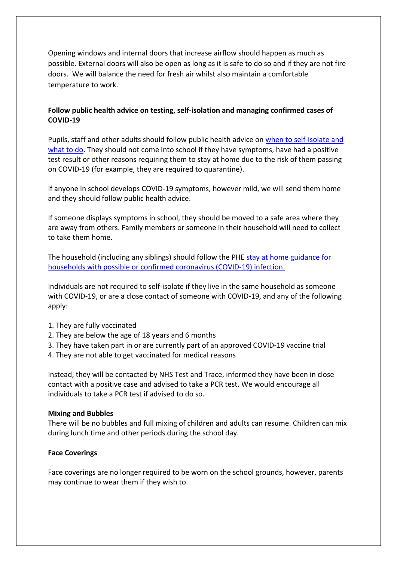Opening windows and internal doors that increase airflow should happen as much as possible. External doors will also be open as long as it is safe to do so and if they are not fire doors. We will balance the need for fresh air whilst also maintain a comfortable temperature to work.

# **Follow public health advice on testing, self-isolation and managing confirmed cases of COVID-19**

Pupils, staff and other adults should follow public health advice on [when to self-isolate and](https://www.nhs.uk/conditions/coronavirus-covid-19/self-isolation-and-treatment/when-to-self-isolate-and-what-to-do/)  [what to do.](https://www.nhs.uk/conditions/coronavirus-covid-19/self-isolation-and-treatment/when-to-self-isolate-and-what-to-do/) They should not come into school if they have symptoms, have had a positive test result or other reasons requiring them to stay at home due to the risk of them passing on COVID-19 (for example, they are required to quarantine).

If anyone in school develops COVID-19 symptoms, however mild, we will send them home and they should follow public health advice.

If someone displays symptoms in school, they should be moved to a safe area where they are away from others. Family members or someone in their household will need to collect to take them home.

The household (including any siblings) should follow the PHE [stay at home guidance for](https://www.gov.uk/government/publications/covid-19-stay-at-home-guidance/stay-at-home-guidance-for-households-with-possible-coronavirus-covid-19-infection)  [households with possible or confirmed coronavirus \(COVID-19\) infection.](https://www.gov.uk/government/publications/covid-19-stay-at-home-guidance/stay-at-home-guidance-for-households-with-possible-coronavirus-covid-19-infection)

Individuals are not required to self-isolate if they live in the same household as someone with COVID-19, or are a close contact of someone with COVID-19, and any of the following apply:

- 1. They are fully vaccinated
- 2. They are below the age of 18 years and 6 months
- 3. They have taken part in or are currently part of an approved COVID-19 vaccine trial
- 4. They are not able to get vaccinated for medical reasons

Instead, they will be contacted by NHS Test and Trace, informed they have been in close contact with a positive case and advised to take a PCR test. We would encourage all individuals to take a PCR test if advised to do so.

#### **Mixing and Bubbles**

There will be no bubbles and full mixing of children and adults can resume. Children can mix during lunch time and other periods during the school day.

#### **Face Coverings**

Face coverings are no longer required to be worn on the school grounds, however, parents may continue to wear them if they wish to.